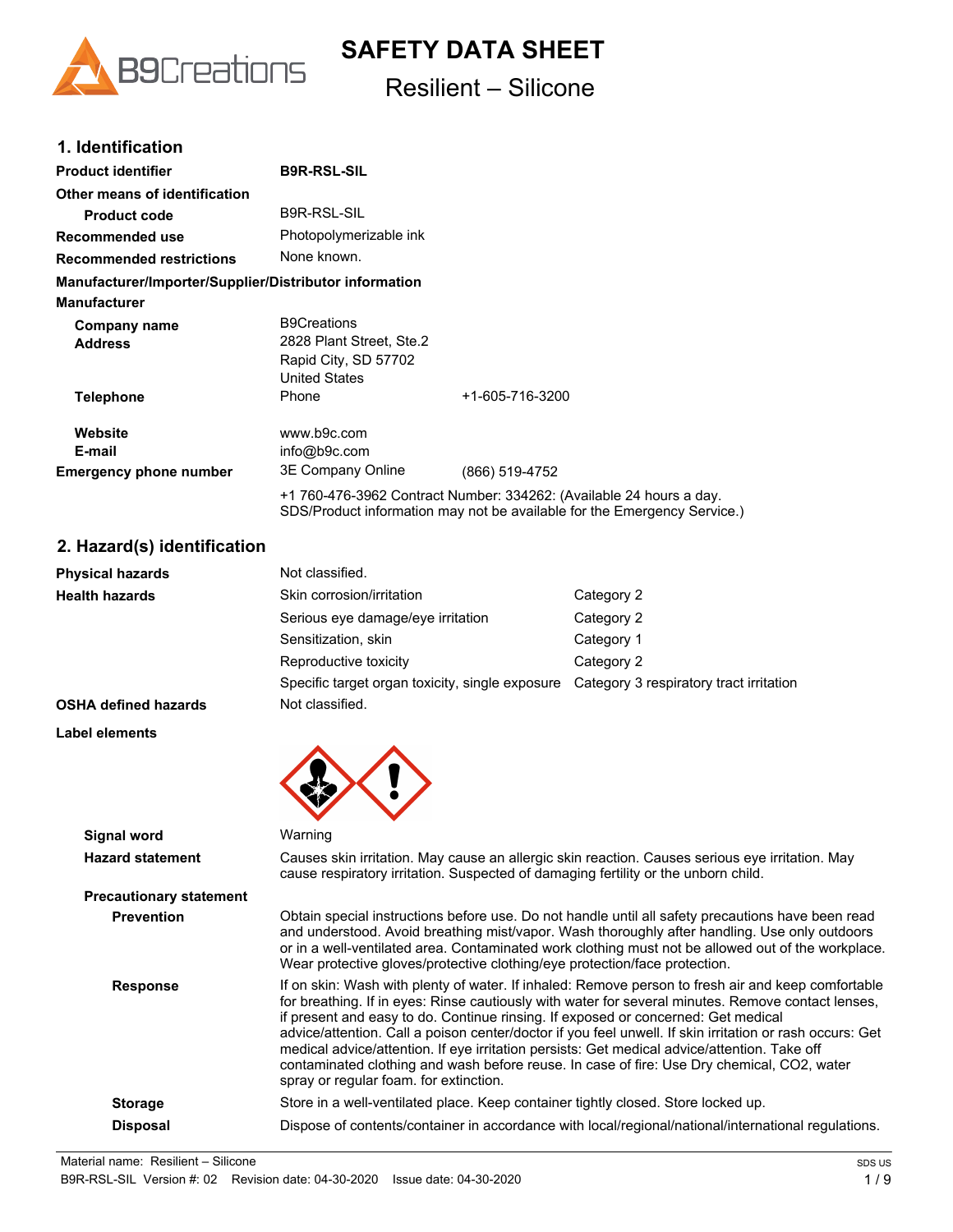

# **SAFETY DATA SHEET**

# Resilient – Silicone

### **1. Identification**

| <b>Product identifier</b>                              | <b>B9R-RSL-SIL</b>                                                                             |                                                                                                                                                 |
|--------------------------------------------------------|------------------------------------------------------------------------------------------------|-------------------------------------------------------------------------------------------------------------------------------------------------|
| Other means of identification                          |                                                                                                |                                                                                                                                                 |
| <b>Product code</b>                                    | <b>B9R-RSL-SIL</b>                                                                             |                                                                                                                                                 |
| Recommended use                                        | Photopolymerizable ink                                                                         |                                                                                                                                                 |
| <b>Recommended restrictions</b>                        | None known.                                                                                    |                                                                                                                                                 |
| Manufacturer/Importer/Supplier/Distributor information |                                                                                                |                                                                                                                                                 |
| <b>Manufacturer</b>                                    |                                                                                                |                                                                                                                                                 |
| Company name<br><b>Address</b>                         | <b>B9Creations</b><br>2828 Plant Street, Ste.2<br>Rapid City, SD 57702<br><b>United States</b> |                                                                                                                                                 |
| <b>Telephone</b>                                       | Phone                                                                                          | +1-605-716-3200                                                                                                                                 |
| Website<br>E-mail<br><b>Emergency phone number</b>     | www.b9c.com<br>info@b9c.com<br>3E Company Online                                               | (866) 519-4752                                                                                                                                  |
|                                                        |                                                                                                | +1 760-476-3962 Contract Number: 334262: (Available 24 hours a day.<br>SDS/Product information may not be available for the Emergency Service.) |

### **2. Hazard(s) identification**

| <b>Physical hazards</b>     | Not classified.                                 |                                         |
|-----------------------------|-------------------------------------------------|-----------------------------------------|
| <b>Health hazards</b>       | Skin corrosion/irritation                       | Category 2                              |
|                             | Serious eye damage/eye irritation               | Category 2                              |
|                             | Sensitization, skin                             | Category 1                              |
|                             | Reproductive toxicity                           | Category 2                              |
|                             | Specific target organ toxicity, single exposure | Category 3 respiratory tract irritation |
| <b>OSHA defined hazards</b> | Not classified.                                 |                                         |
| <b>Label elements</b>       |                                                 |                                         |



| Signal word                    | Warning                                                                                                                                                                                                                                                                                                                                                                                                                                                                                                                                                                                                                                           |
|--------------------------------|---------------------------------------------------------------------------------------------------------------------------------------------------------------------------------------------------------------------------------------------------------------------------------------------------------------------------------------------------------------------------------------------------------------------------------------------------------------------------------------------------------------------------------------------------------------------------------------------------------------------------------------------------|
| <b>Hazard statement</b>        | Causes skin irritation. May cause an allergic skin reaction. Causes serious eye irritation. May<br>cause respiratory irritation. Suspected of damaging fertility or the unborn child.                                                                                                                                                                                                                                                                                                                                                                                                                                                             |
| <b>Precautionary statement</b> |                                                                                                                                                                                                                                                                                                                                                                                                                                                                                                                                                                                                                                                   |
| <b>Prevention</b>              | Obtain special instructions before use. Do not handle until all safety precautions have been read<br>and understood. Avoid breathing mist/vapor. Wash thoroughly after handling. Use only outdoors<br>or in a well-ventilated area. Contaminated work clothing must not be allowed out of the workplace.<br>Wear protective gloves/protective clothing/eye protection/face protection.                                                                                                                                                                                                                                                            |
| <b>Response</b>                | If on skin: Wash with plenty of water. If inhaled: Remove person to fresh air and keep comfortable<br>for breathing. If in eyes: Rinse cautiously with water for several minutes. Remove contact lenses,<br>if present and easy to do. Continue rinsing. If exposed or concerned: Get medical<br>advice/attention. Call a poison center/doctor if you feel unwell. If skin irritation or rash occurs: Get<br>medical advice/attention. If eye irritation persists: Get medical advice/attention. Take off<br>contaminated clothing and wash before reuse. In case of fire: Use Dry chemical, CO2, water<br>spray or regular foam. for extinction. |
| <b>Storage</b>                 | Store in a well-ventilated place. Keep container tightly closed. Store locked up.                                                                                                                                                                                                                                                                                                                                                                                                                                                                                                                                                                 |
| <b>Disposal</b>                | Dispose of contents/container in accordance with local/regional/national/international regulations.                                                                                                                                                                                                                                                                                                                                                                                                                                                                                                                                               |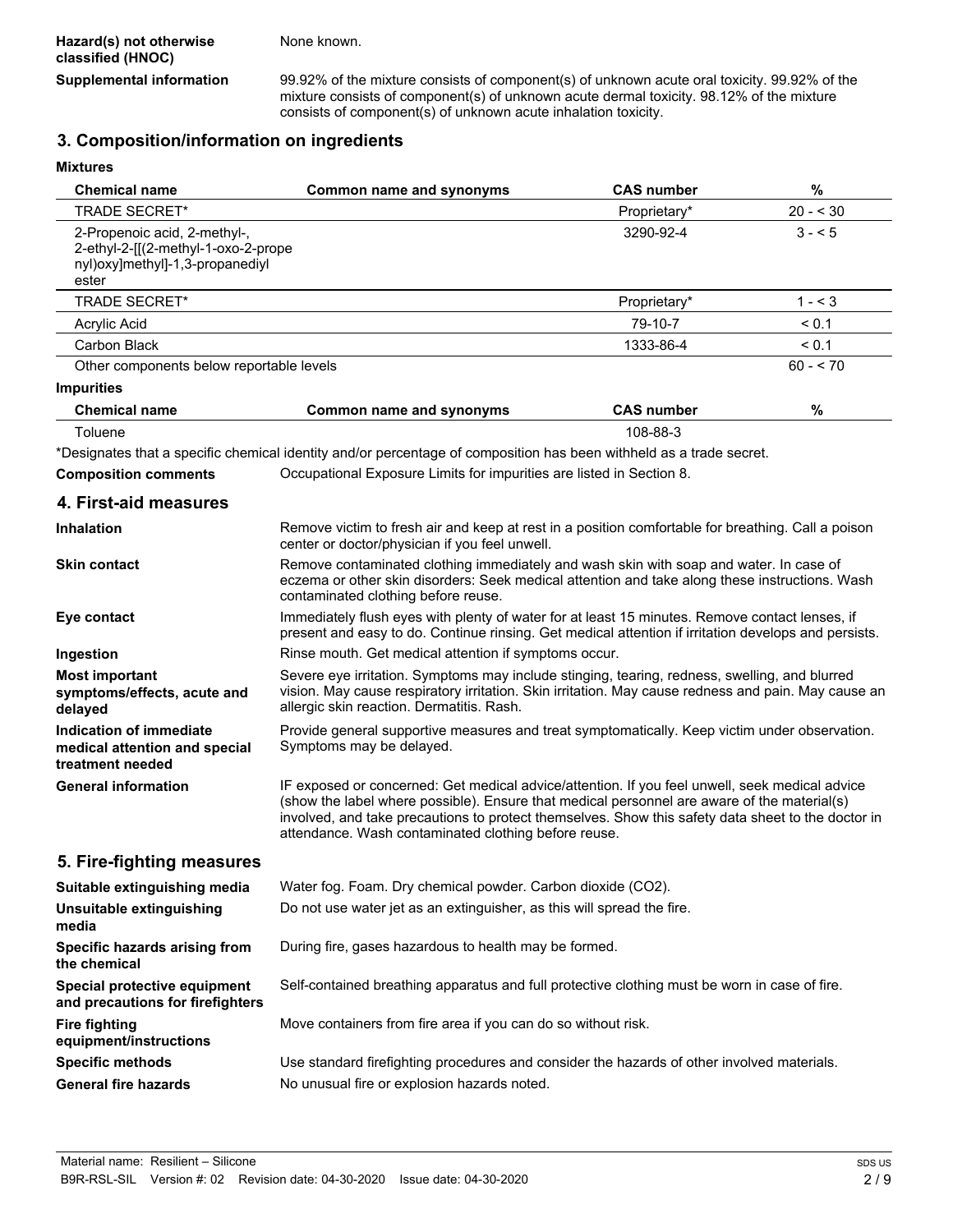**Supplemental information** 99.92% of the mixture consists of component(s) of unknown acute oral toxicity. 99.92% of the mixture consists of component(s) of unknown acute dermal toxicity. 98.12% of the mixture consists of component(s) of unknown acute inhalation toxicity.

## **3. Composition/information on ingredients**

**Mixtures**

| <b>Chemical name</b>                                                                                            | <b>Common name and synonyms</b>                                                                                                                                                                                                                                                                                                                             | <b>CAS number</b> | $\%$       |  |
|-----------------------------------------------------------------------------------------------------------------|-------------------------------------------------------------------------------------------------------------------------------------------------------------------------------------------------------------------------------------------------------------------------------------------------------------------------------------------------------------|-------------------|------------|--|
| <b>TRADE SECRET*</b>                                                                                            |                                                                                                                                                                                                                                                                                                                                                             | Proprietary*      | $20 - 530$ |  |
| 2-Propenoic acid, 2-methyl-,<br>2-ethyl-2-[[(2-methyl-1-oxo-2-prope<br>nyl)oxy]methyl]-1,3-propanediyl<br>ester |                                                                                                                                                                                                                                                                                                                                                             | 3290-92-4         | $3 - 5$    |  |
| <b>TRADE SECRET*</b>                                                                                            |                                                                                                                                                                                                                                                                                                                                                             | Proprietary*      | $1 - 3$    |  |
| Acrylic Acid                                                                                                    |                                                                                                                                                                                                                                                                                                                                                             | 79-10-7           | < 0.1      |  |
| Carbon Black                                                                                                    |                                                                                                                                                                                                                                                                                                                                                             | 1333-86-4         | < 0.1      |  |
| Other components below reportable levels                                                                        |                                                                                                                                                                                                                                                                                                                                                             |                   | $60 - 70$  |  |
| <b>Impurities</b>                                                                                               |                                                                                                                                                                                                                                                                                                                                                             |                   |            |  |
| <b>Chemical name</b>                                                                                            | <b>Common name and synonyms</b>                                                                                                                                                                                                                                                                                                                             | <b>CAS number</b> | $\%$       |  |
| Toluene                                                                                                         |                                                                                                                                                                                                                                                                                                                                                             | 108-88-3          |            |  |
|                                                                                                                 | *Designates that a specific chemical identity and/or percentage of composition has been withheld as a trade secret.                                                                                                                                                                                                                                         |                   |            |  |
| <b>Composition comments</b>                                                                                     | Occupational Exposure Limits for impurities are listed in Section 8.                                                                                                                                                                                                                                                                                        |                   |            |  |
| 4. First-aid measures                                                                                           |                                                                                                                                                                                                                                                                                                                                                             |                   |            |  |
| <b>Inhalation</b>                                                                                               | Remove victim to fresh air and keep at rest in a position comfortable for breathing. Call a poison<br>center or doctor/physician if you feel unwell.                                                                                                                                                                                                        |                   |            |  |
| <b>Skin contact</b>                                                                                             | Remove contaminated clothing immediately and wash skin with soap and water. In case of<br>eczema or other skin disorders: Seek medical attention and take along these instructions. Wash<br>contaminated clothing before reuse.                                                                                                                             |                   |            |  |
| Eye contact                                                                                                     | Immediately flush eyes with plenty of water for at least 15 minutes. Remove contact lenses, if<br>present and easy to do. Continue rinsing. Get medical attention if irritation develops and persists.                                                                                                                                                      |                   |            |  |
| Ingestion                                                                                                       | Rinse mouth. Get medical attention if symptoms occur.                                                                                                                                                                                                                                                                                                       |                   |            |  |
| <b>Most important</b><br>symptoms/effects, acute and<br>delayed                                                 | Severe eye irritation. Symptoms may include stinging, tearing, redness, swelling, and blurred<br>vision. May cause respiratory irritation. Skin irritation. May cause redness and pain. May cause an<br>allergic skin reaction. Dermatitis. Rash.                                                                                                           |                   |            |  |
| <b>Indication of immediate</b><br>medical attention and special<br>treatment needed                             | Provide general supportive measures and treat symptomatically. Keep victim under observation.<br>Symptoms may be delayed.                                                                                                                                                                                                                                   |                   |            |  |
| <b>General information</b>                                                                                      | IF exposed or concerned: Get medical advice/attention. If you feel unwell, seek medical advice<br>(show the label where possible). Ensure that medical personnel are aware of the material(s)<br>involved, and take precautions to protect themselves. Show this safety data sheet to the doctor in<br>attendance. Wash contaminated clothing before reuse. |                   |            |  |
| 5. Fire-fighting measures                                                                                       |                                                                                                                                                                                                                                                                                                                                                             |                   |            |  |
| Suitable extinguishing media                                                                                    | Water fog. Foam. Dry chemical powder. Carbon dioxide (CO2).                                                                                                                                                                                                                                                                                                 |                   |            |  |
| Unsuitable extinguishing<br>media                                                                               | Do not use water jet as an extinguisher, as this will spread the fire.                                                                                                                                                                                                                                                                                      |                   |            |  |
| Specific hazards arising from<br>the chemical                                                                   | During fire, gases hazardous to health may be formed.                                                                                                                                                                                                                                                                                                       |                   |            |  |
| Special protective equipment<br>and precautions for firefighters                                                | Self-contained breathing apparatus and full protective clothing must be worn in case of fire.                                                                                                                                                                                                                                                               |                   |            |  |
| <b>Fire fighting</b><br>equipment/instructions                                                                  | Move containers from fire area if you can do so without risk.                                                                                                                                                                                                                                                                                               |                   |            |  |
| <b>Specific methods</b>                                                                                         | Use standard firefighting procedures and consider the hazards of other involved materials.                                                                                                                                                                                                                                                                  |                   |            |  |
| <b>General fire hazards</b>                                                                                     | No unusual fire or explosion hazards noted.                                                                                                                                                                                                                                                                                                                 |                   |            |  |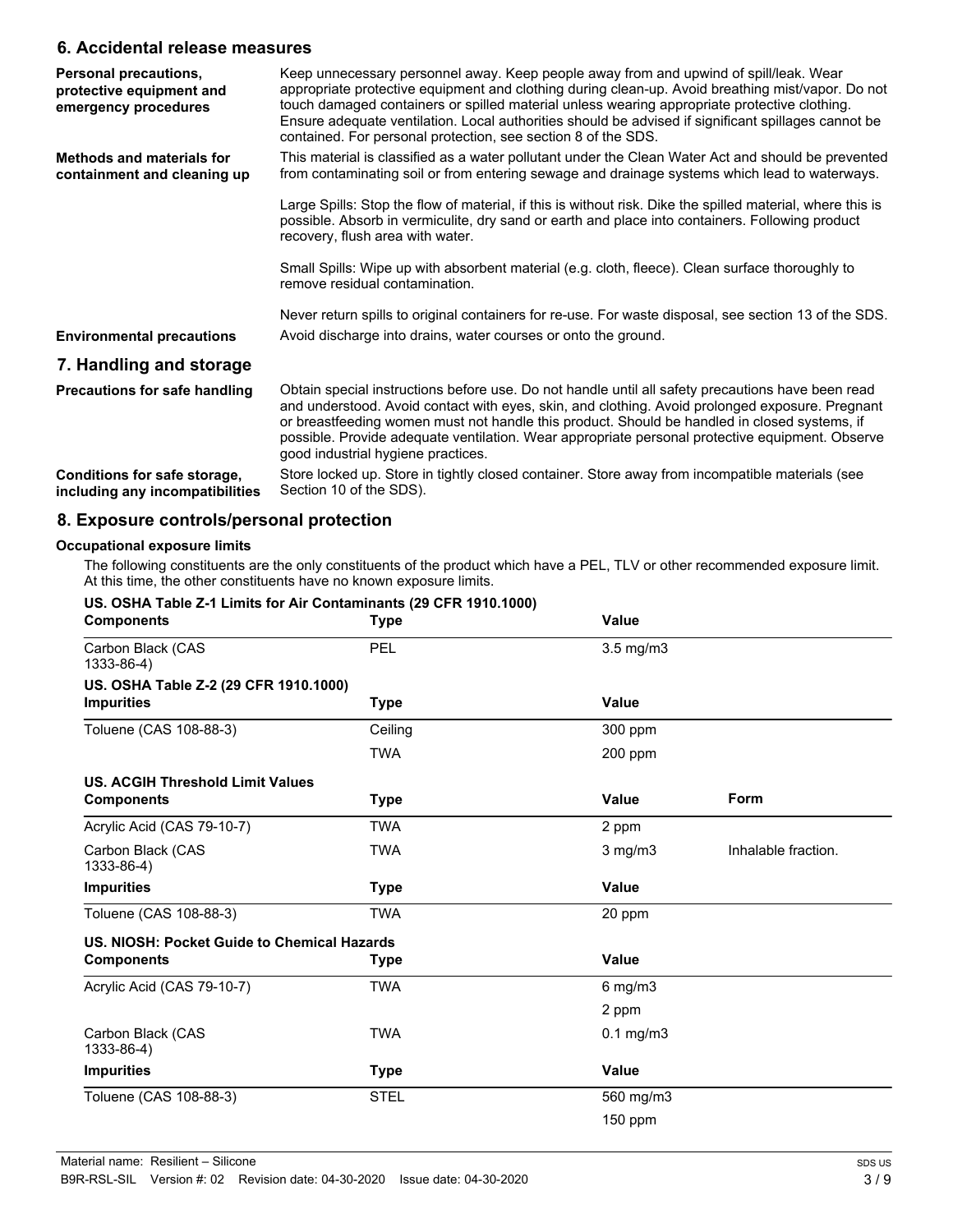### **6. Accidental release measures**

| Personal precautions,<br>protective equipment and<br>emergency procedures | Keep unnecessary personnel away. Keep people away from and upwind of spill/leak. Wear<br>appropriate protective equipment and clothing during clean-up. Avoid breathing mist/vapor. Do not<br>touch damaged containers or spilled material unless wearing appropriate protective clothing.<br>Ensure adequate ventilation. Local authorities should be advised if significant spillages cannot be<br>contained. For personal protection, see section 8 of the SDS. |
|---------------------------------------------------------------------------|--------------------------------------------------------------------------------------------------------------------------------------------------------------------------------------------------------------------------------------------------------------------------------------------------------------------------------------------------------------------------------------------------------------------------------------------------------------------|
| <b>Methods and materials for</b><br>containment and cleaning up           | This material is classified as a water pollutant under the Clean Water Act and should be prevented<br>from contaminating soil or from entering sewage and drainage systems which lead to waterways.                                                                                                                                                                                                                                                                |
|                                                                           | Large Spills: Stop the flow of material, if this is without risk. Dike the spilled material, where this is<br>possible. Absorb in vermiculite, dry sand or earth and place into containers. Following product<br>recovery, flush area with water.                                                                                                                                                                                                                  |
|                                                                           | Small Spills: Wipe up with absorbent material (e.g. cloth, fleece). Clean surface thoroughly to<br>remove residual contamination.                                                                                                                                                                                                                                                                                                                                  |
| <b>Environmental precautions</b>                                          | Never return spills to original containers for re-use. For waste disposal, see section 13 of the SDS.<br>Avoid discharge into drains, water courses or onto the ground.                                                                                                                                                                                                                                                                                            |
| 7. Handling and storage                                                   |                                                                                                                                                                                                                                                                                                                                                                                                                                                                    |
| <b>Precautions for safe handling</b>                                      | Obtain special instructions before use. Do not handle until all safety precautions have been read<br>and understood. Avoid contact with eyes, skin, and clothing. Avoid prolonged exposure. Pregnant<br>or breastfeeding women must not handle this product. Should be handled in closed systems, if<br>possible. Provide adequate ventilation. Wear appropriate personal protective equipment. Observe<br>good industrial hygiene practices.                      |
| Conditions for safe storage,<br>including any incompatibilities           | Store locked up. Store in tightly closed container. Store away from incompatible materials (see<br>Section 10 of the SDS).                                                                                                                                                                                                                                                                                                                                         |

### **8. Exposure controls/personal protection**

### **Occupational exposure limits**

The following constituents are the only constituents of the product which have a PEL, TLV or other recommended exposure limit. At this time, the other constituents have no known exposure limits.

| US. OSHA Table Z-1 Limits for Air Contaminants (29 CFR 1910.1000)<br><b>Components</b> | <b>Type</b> | <b>Value</b>       |                     |
|----------------------------------------------------------------------------------------|-------------|--------------------|---------------------|
| Carbon Black (CAS<br>1333-86-4)                                                        | <b>PEL</b>  | $3.5 \text{ mg/m}$ |                     |
| US. OSHA Table Z-2 (29 CFR 1910.1000)                                                  |             |                    |                     |
| <b>Impurities</b>                                                                      | Type        | <b>Value</b>       |                     |
| Toluene (CAS 108-88-3)                                                                 | Ceiling     | 300 ppm            |                     |
|                                                                                        | <b>TWA</b>  | 200 ppm            |                     |
| <b>US. ACGIH Threshold Limit Values</b>                                                |             |                    |                     |
| <b>Components</b>                                                                      | <b>Type</b> | Value              | <b>Form</b>         |
| Acrylic Acid (CAS 79-10-7)                                                             | <b>TWA</b>  | 2 ppm              |                     |
| Carbon Black (CAS<br>1333-86-4)                                                        | <b>TWA</b>  | $3$ mg/m $3$       | Inhalable fraction. |
| <b>Impurities</b>                                                                      | <b>Type</b> | <b>Value</b>       |                     |
| Toluene (CAS 108-88-3)                                                                 | <b>TWA</b>  | 20 ppm             |                     |
| US. NIOSH: Pocket Guide to Chemical Hazards                                            |             |                    |                     |
| <b>Components</b>                                                                      | Type        | <b>Value</b>       |                     |
| Acrylic Acid (CAS 79-10-7)                                                             | <b>TWA</b>  | $6$ mg/m $3$       |                     |
|                                                                                        |             | 2 ppm              |                     |
| Carbon Black (CAS<br>1333-86-4)                                                        | <b>TWA</b>  | $0.1$ mg/m $3$     |                     |
| <b>Impurities</b>                                                                      | Type        | <b>Value</b>       |                     |
| Toluene (CAS 108-88-3)                                                                 | <b>STEL</b> | 560 mg/m3          |                     |
|                                                                                        |             | $150$ ppm          |                     |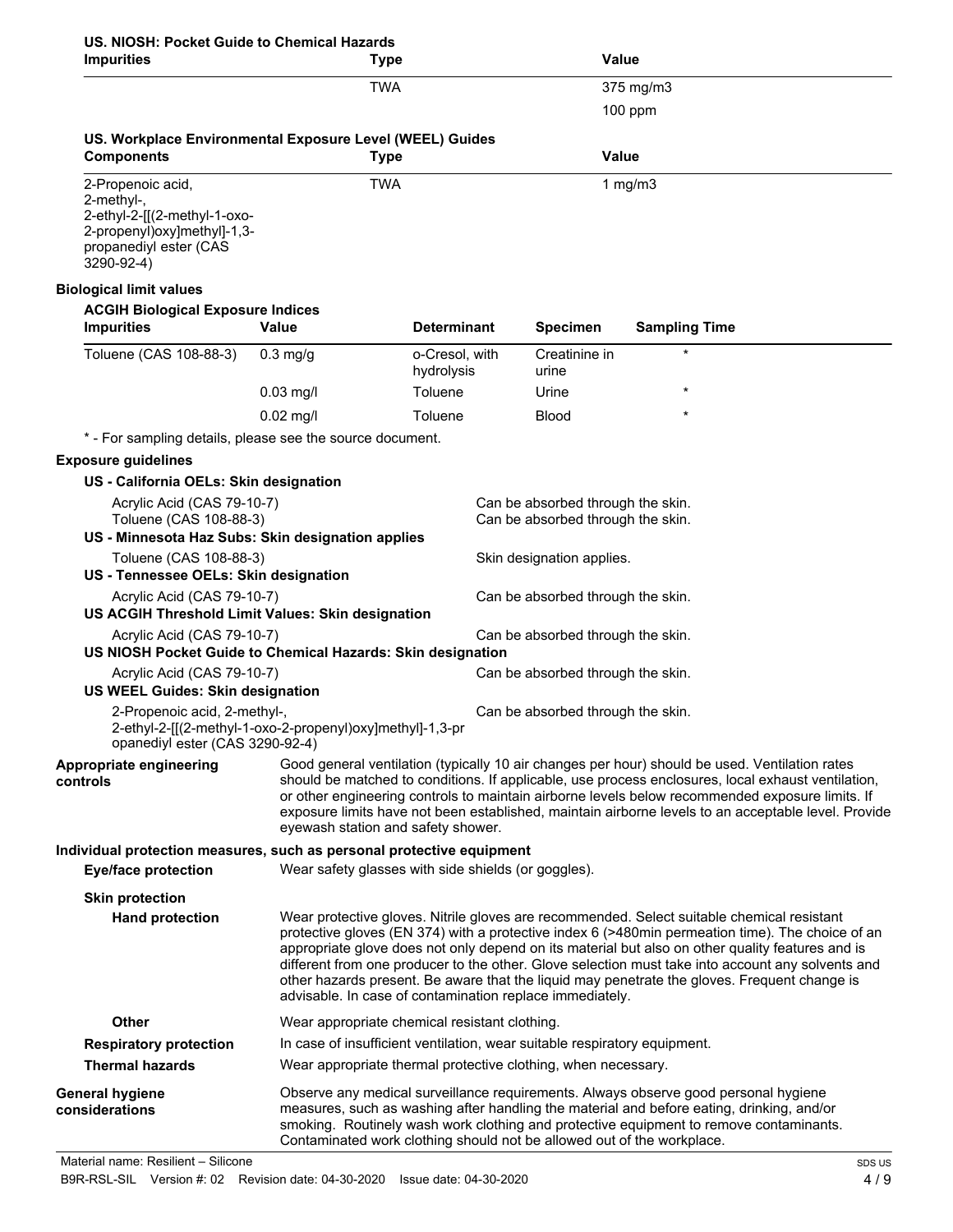# **US. NIOSH: Pocket Guide to Chemical Hazards**

| <b>Impurities</b>                                                                                                                      | <b>Type</b>                                                               |                              |                                                                        | <b>Value</b>                                                                                                                                                                                                                                                                                                                                                                                                                                                                                            |
|----------------------------------------------------------------------------------------------------------------------------------------|---------------------------------------------------------------------------|------------------------------|------------------------------------------------------------------------|---------------------------------------------------------------------------------------------------------------------------------------------------------------------------------------------------------------------------------------------------------------------------------------------------------------------------------------------------------------------------------------------------------------------------------------------------------------------------------------------------------|
|                                                                                                                                        | <b>TWA</b>                                                                |                              |                                                                        | 375 mg/m3                                                                                                                                                                                                                                                                                                                                                                                                                                                                                               |
|                                                                                                                                        |                                                                           |                              |                                                                        | $100$ ppm                                                                                                                                                                                                                                                                                                                                                                                                                                                                                               |
| US. Workplace Environmental Exposure Level (WEEL) Guides<br><b>Components</b>                                                          | <b>Type</b>                                                               |                              |                                                                        | <b>Value</b>                                                                                                                                                                                                                                                                                                                                                                                                                                                                                            |
| 2-Propenoic acid,<br>2-methyl-,<br>2-ethyl-2-[[(2-methyl-1-oxo-<br>2-propenyl)oxy]methyl]-1,3-<br>propanediyl ester (CAS<br>3290-92-4) | <b>TWA</b>                                                                |                              |                                                                        | 1 $mg/m3$                                                                                                                                                                                                                                                                                                                                                                                                                                                                                               |
| <b>Biological limit values</b>                                                                                                         |                                                                           |                              |                                                                        |                                                                                                                                                                                                                                                                                                                                                                                                                                                                                                         |
| <b>ACGIH Biological Exposure Indices</b><br><b>Impurities</b>                                                                          | <b>Value</b>                                                              | Determinant                  | <b>Specimen</b>                                                        | <b>Sampling Time</b>                                                                                                                                                                                                                                                                                                                                                                                                                                                                                    |
| Toluene (CAS 108-88-3)                                                                                                                 | $0.3$ mg/g                                                                | o-Cresol, with<br>hydrolysis | Creatinine in<br>urine                                                 | $\star$                                                                                                                                                                                                                                                                                                                                                                                                                                                                                                 |
|                                                                                                                                        | $0.03$ mg/l                                                               | Toluene                      | Urine                                                                  | $\star$                                                                                                                                                                                                                                                                                                                                                                                                                                                                                                 |
|                                                                                                                                        | $0.02$ mg/l                                                               | Toluene                      | <b>Blood</b>                                                           |                                                                                                                                                                                                                                                                                                                                                                                                                                                                                                         |
| * - For sampling details, please see the source document.                                                                              |                                                                           |                              |                                                                        |                                                                                                                                                                                                                                                                                                                                                                                                                                                                                                         |
| <b>Exposure guidelines</b>                                                                                                             |                                                                           |                              |                                                                        |                                                                                                                                                                                                                                                                                                                                                                                                                                                                                                         |
| US - California OELs: Skin designation<br>Acrylic Acid (CAS 79-10-7)                                                                   |                                                                           |                              |                                                                        |                                                                                                                                                                                                                                                                                                                                                                                                                                                                                                         |
| Toluene (CAS 108-88-3)<br>US - Minnesota Haz Subs: Skin designation applies                                                            |                                                                           |                              | Can be absorbed through the skin.<br>Can be absorbed through the skin. |                                                                                                                                                                                                                                                                                                                                                                                                                                                                                                         |
| Toluene (CAS 108-88-3)<br>US - Tennessee OELs: Skin designation                                                                        |                                                                           |                              | Skin designation applies.                                              |                                                                                                                                                                                                                                                                                                                                                                                                                                                                                                         |
| Acrylic Acid (CAS 79-10-7)<br>US ACGIH Threshold Limit Values: Skin designation                                                        |                                                                           |                              | Can be absorbed through the skin.                                      |                                                                                                                                                                                                                                                                                                                                                                                                                                                                                                         |
| Acrylic Acid (CAS 79-10-7)<br>US NIOSH Pocket Guide to Chemical Hazards: Skin designation                                              |                                                                           |                              | Can be absorbed through the skin.                                      |                                                                                                                                                                                                                                                                                                                                                                                                                                                                                                         |
| Acrylic Acid (CAS 79-10-7)<br><b>US WEEL Guides: Skin designation</b>                                                                  |                                                                           |                              | Can be absorbed through the skin.                                      |                                                                                                                                                                                                                                                                                                                                                                                                                                                                                                         |
| 2-Propenoic acid, 2-methyl-,<br>2-ethyl-2-[[(2-methyl-1-oxo-2-propenyl)oxy]methyl]-1,3-pr<br>opanediyl ester (CAS 3290-92-4)           |                                                                           |                              | Can be absorbed through the skin.                                      |                                                                                                                                                                                                                                                                                                                                                                                                                                                                                                         |
| Appropriate engineering<br>controls                                                                                                    | eyewash station and safety shower.                                        |                              |                                                                        | Good general ventilation (typically 10 air changes per hour) should be used. Ventilation rates<br>should be matched to conditions. If applicable, use process enclosures, local exhaust ventilation,<br>or other engineering controls to maintain airborne levels below recommended exposure limits. If<br>exposure limits have not been established, maintain airborne levels to an acceptable level. Provide                                                                                          |
| Individual protection measures, such as personal protective equipment                                                                  |                                                                           |                              |                                                                        |                                                                                                                                                                                                                                                                                                                                                                                                                                                                                                         |
| <b>Eye/face protection</b>                                                                                                             | Wear safety glasses with side shields (or goggles).                       |                              |                                                                        |                                                                                                                                                                                                                                                                                                                                                                                                                                                                                                         |
| <b>Skin protection</b><br><b>Hand protection</b>                                                                                       | advisable. In case of contamination replace immediately.                  |                              |                                                                        | Wear protective gloves. Nitrile gloves are recommended. Select suitable chemical resistant<br>protective gloves (EN 374) with a protective index 6 (>480min permeation time). The choice of an<br>appropriate glove does not only depend on its material but also on other quality features and is<br>different from one producer to the other. Glove selection must take into account any solvents and<br>other hazards present. Be aware that the liquid may penetrate the gloves. Frequent change is |
| Other                                                                                                                                  | Wear appropriate chemical resistant clothing.                             |                              |                                                                        |                                                                                                                                                                                                                                                                                                                                                                                                                                                                                                         |
| <b>Respiratory protection</b>                                                                                                          | In case of insufficient ventilation, wear suitable respiratory equipment. |                              |                                                                        |                                                                                                                                                                                                                                                                                                                                                                                                                                                                                                         |
| <b>Thermal hazards</b>                                                                                                                 | Wear appropriate thermal protective clothing, when necessary.             |                              |                                                                        |                                                                                                                                                                                                                                                                                                                                                                                                                                                                                                         |
| <b>General hygiene</b><br>considerations                                                                                               | Contaminated work clothing should not be allowed out of the workplace.    |                              |                                                                        | Observe any medical surveillance requirements. Always observe good personal hygiene<br>measures, such as washing after handling the material and before eating, drinking, and/or<br>smoking. Routinely wash work clothing and protective equipment to remove contaminants.                                                                                                                                                                                                                              |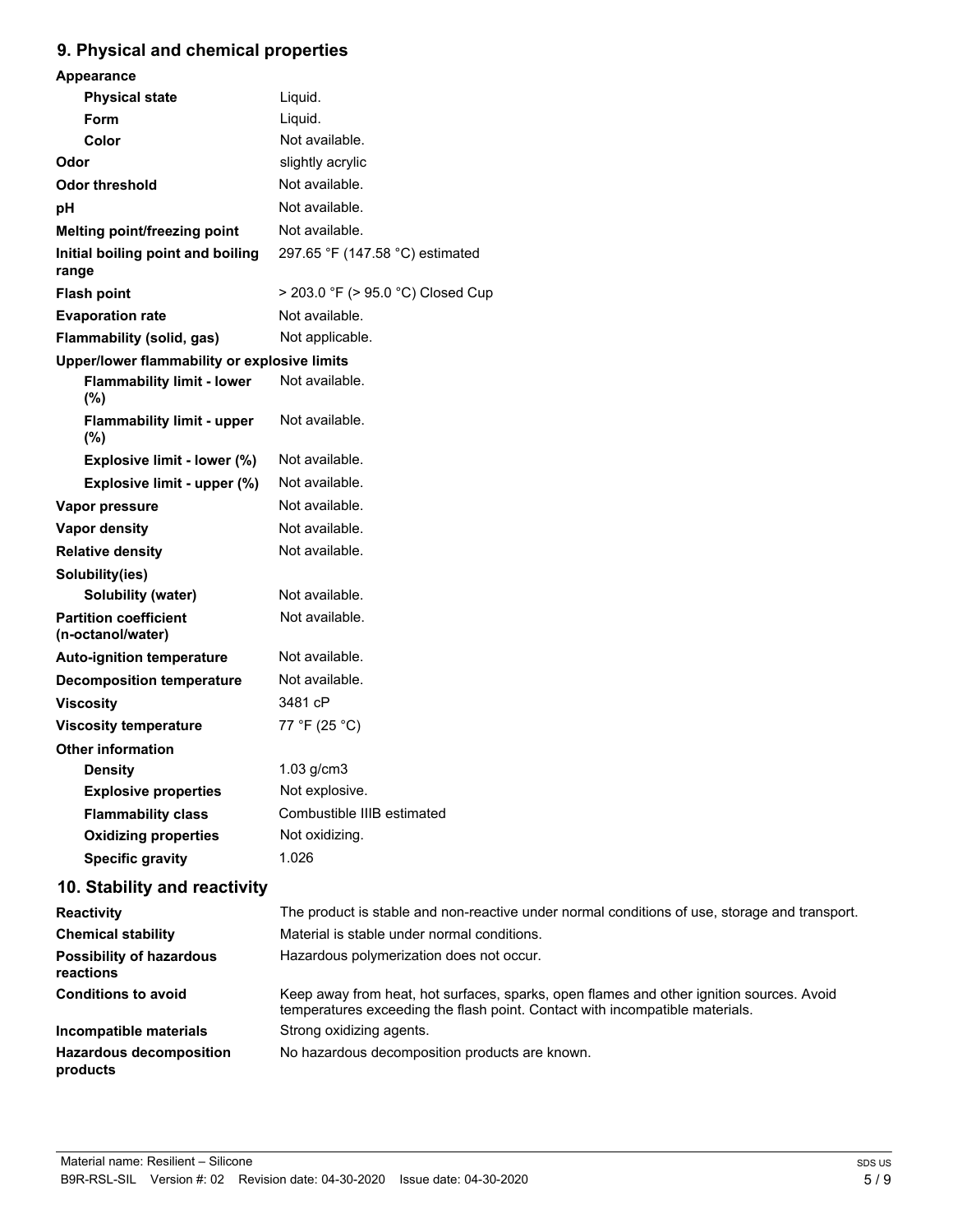### **9. Physical and chemical properties**

| <u> nyaloarana ononnoarpropernoa</u>              |                                                                                               |
|---------------------------------------------------|-----------------------------------------------------------------------------------------------|
| Appearance                                        |                                                                                               |
| <b>Physical state</b>                             | Liquid.                                                                                       |
| Form                                              | Liquid.                                                                                       |
| Color                                             | Not available.                                                                                |
| Odor                                              | slightly acrylic                                                                              |
| <b>Odor threshold</b>                             | Not available.                                                                                |
| pH                                                | Not available.                                                                                |
| Melting point/freezing point                      | Not available.                                                                                |
| Initial boiling point and boiling<br>range        | 297.65 °F (147.58 °C) estimated                                                               |
| <b>Flash point</b>                                | > 203.0 °F (> 95.0 °C) Closed Cup                                                             |
| <b>Evaporation rate</b>                           | Not available.                                                                                |
| <b>Flammability (solid, gas)</b>                  | Not applicable.                                                                               |
| Upper/lower flammability or explosive limits      |                                                                                               |
| <b>Flammability limit - lower</b><br>(%)          | Not available.                                                                                |
| <b>Flammability limit - upper</b><br>$(\%)$       | Not available.                                                                                |
| Explosive limit - lower (%)                       | Not available.                                                                                |
| Explosive limit - upper (%)                       | Not available.                                                                                |
| Vapor pressure                                    | Not available.                                                                                |
| <b>Vapor density</b>                              | Not available.                                                                                |
| <b>Relative density</b>                           | Not available.                                                                                |
| Solubility(ies)                                   |                                                                                               |
| <b>Solubility (water)</b>                         | Not available.                                                                                |
| <b>Partition coefficient</b><br>(n-octanol/water) | Not available.                                                                                |
| <b>Auto-ignition temperature</b>                  | Not available.                                                                                |
| <b>Decomposition temperature</b>                  | Not available.                                                                                |
| <b>Viscosity</b>                                  | 3481 cP                                                                                       |
| <b>Viscosity temperature</b>                      | 77 °F (25 °C)                                                                                 |
| <b>Other information</b>                          |                                                                                               |
| <b>Density</b>                                    | 1.03 g/cm3                                                                                    |
| <b>Explosive properties</b>                       | Not explosive.                                                                                |
| <b>Flammability class</b>                         | Combustible IIIB estimated                                                                    |
| <b>Oxidizing properties</b>                       | Not oxidizing.                                                                                |
| <b>Specific gravity</b>                           | 1.026                                                                                         |
| 10. Stability and reactivity                      |                                                                                               |
| Reactivity                                        | The product is stable and non-reactive under normal conditions of use, storage and transport. |
| <b>Chemical stability</b>                         | Material is stable under normal conditions.                                                   |

| Reactivity                                   | The product is stable and non-reactive under normal conditions of use, storage and transport                                                                             |
|----------------------------------------------|--------------------------------------------------------------------------------------------------------------------------------------------------------------------------|
| <b>Chemical stability</b>                    | Material is stable under normal conditions.                                                                                                                              |
| <b>Possibility of hazardous</b><br>reactions | Hazardous polymerization does not occur.                                                                                                                                 |
| <b>Conditions to avoid</b>                   | Keep away from heat, hot surfaces, sparks, open flames and other ignition sources. Avoid<br>temperatures exceeding the flash point. Contact with incompatible materials. |
| Incompatible materials                       | Strong oxidizing agents.                                                                                                                                                 |
| <b>Hazardous decomposition</b><br>products   | No hazardous decomposition products are known.                                                                                                                           |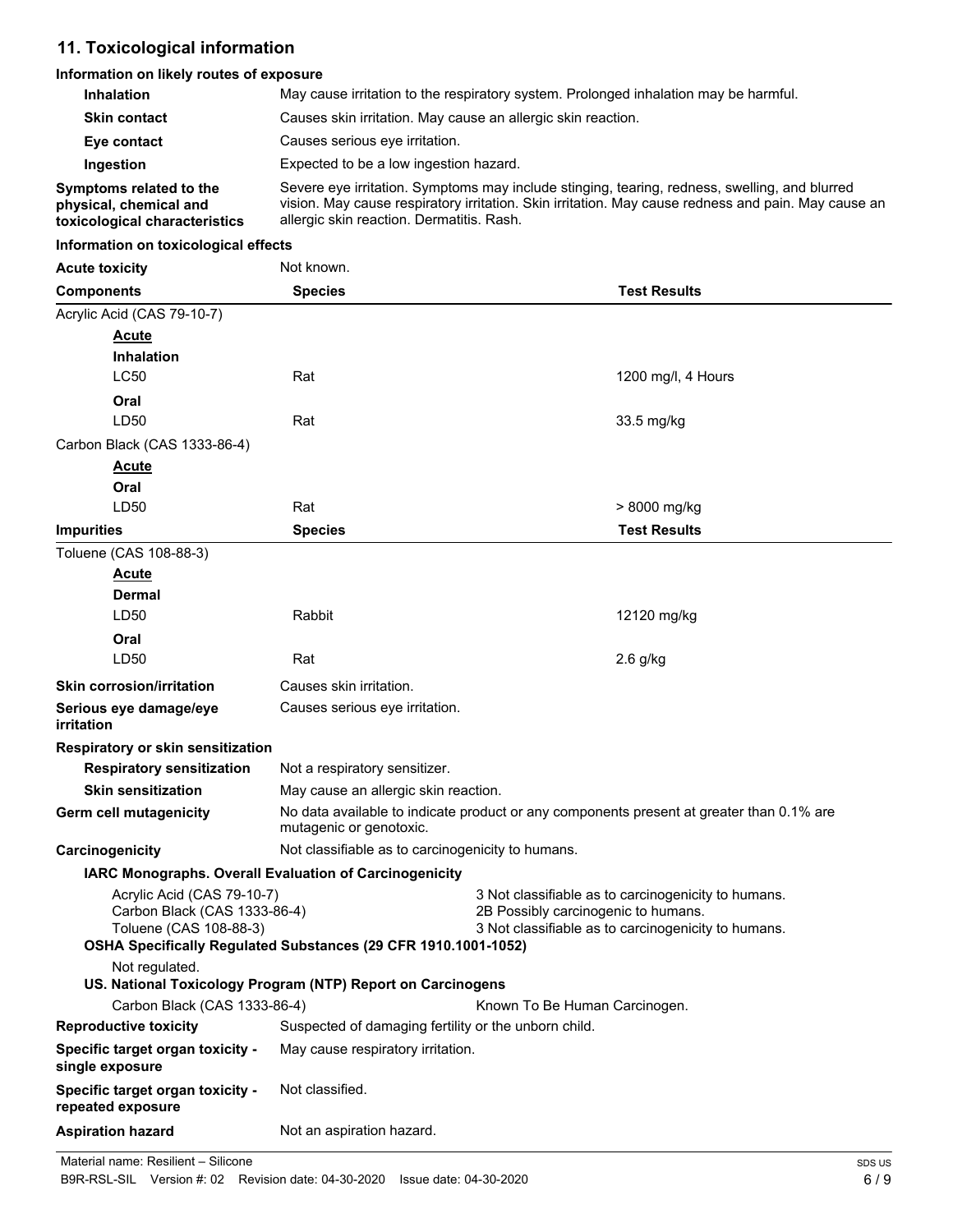## **11. Toxicological information**

### **Information on likely routes of exposure**

| <u>INIONING CHE IN THE LOGICS OF CAPOSUI C</u>                                       |                                                                                                                                                                                                                                                   |                               |  |
|--------------------------------------------------------------------------------------|---------------------------------------------------------------------------------------------------------------------------------------------------------------------------------------------------------------------------------------------------|-------------------------------|--|
| Inhalation                                                                           | May cause irritation to the respiratory system. Prolonged inhalation may be harmful.                                                                                                                                                              |                               |  |
| <b>Skin contact</b>                                                                  | Causes skin irritation. May cause an allergic skin reaction.                                                                                                                                                                                      |                               |  |
| Eye contact                                                                          | Causes serious eye irritation.                                                                                                                                                                                                                    |                               |  |
| Ingestion                                                                            | Expected to be a low ingestion hazard.                                                                                                                                                                                                            |                               |  |
| Symptoms related to the<br>physical, chemical and<br>toxicological characteristics   | Severe eye irritation. Symptoms may include stinging, tearing, redness, swelling, and blurred<br>vision. May cause respiratory irritation. Skin irritation. May cause redness and pain. May cause an<br>allergic skin reaction. Dermatitis. Rash. |                               |  |
| Information on toxicological effects                                                 |                                                                                                                                                                                                                                                   |                               |  |
| <b>Acute toxicity</b>                                                                | Not known.                                                                                                                                                                                                                                        |                               |  |
| <b>Components</b>                                                                    | <b>Species</b>                                                                                                                                                                                                                                    | <b>Test Results</b>           |  |
| Acrylic Acid (CAS 79-10-7)                                                           |                                                                                                                                                                                                                                                   |                               |  |
| <b>Acute</b><br><b>Inhalation</b><br><b>LC50</b>                                     | Rat                                                                                                                                                                                                                                               | 1200 mg/l, 4 Hours            |  |
| Oral<br>LD50                                                                         | Rat                                                                                                                                                                                                                                               | 33.5 mg/kg                    |  |
| Carbon Black (CAS 1333-86-4)<br><u>Acute</u><br>Oral<br>LD50                         | Rat                                                                                                                                                                                                                                               |                               |  |
|                                                                                      |                                                                                                                                                                                                                                                   | > 8000 mg/kg                  |  |
| <b>Impurities</b>                                                                    | <b>Species</b>                                                                                                                                                                                                                                    | <b>Test Results</b>           |  |
| Toluene (CAS 108-88-3)<br><b>Acute</b><br>Dermal<br>LD50                             | Rabbit                                                                                                                                                                                                                                            | 12120 mg/kg                   |  |
| Oral                                                                                 |                                                                                                                                                                                                                                                   |                               |  |
| LD50                                                                                 | Rat                                                                                                                                                                                                                                               | $2.6$ g/kg                    |  |
| <b>Skin corrosion/irritation</b>                                                     | Causes skin irritation.                                                                                                                                                                                                                           |                               |  |
| Serious eye damage/eye<br>irritation                                                 | Causes serious eye irritation.                                                                                                                                                                                                                    |                               |  |
| Respiratory or skin sensitization                                                    |                                                                                                                                                                                                                                                   |                               |  |
| <b>Respiratory sensitization</b>                                                     | Not a respiratory sensitizer.                                                                                                                                                                                                                     |                               |  |
| <b>Skin sensitization</b>                                                            | May cause an allergic skin reaction.                                                                                                                                                                                                              |                               |  |
| <b>Germ cell mutagenicity</b>                                                        | No data available to indicate product or any components present at greater than 0.1% are<br>mutagenic or genotoxic.                                                                                                                               |                               |  |
| Carcinogenicity                                                                      | Not classifiable as to carcinogenicity to humans.                                                                                                                                                                                                 |                               |  |
|                                                                                      | IARC Monographs. Overall Evaluation of Carcinogenicity                                                                                                                                                                                            |                               |  |
| Acrylic Acid (CAS 79-10-7)<br>Carbon Black (CAS 1333-86-4)<br>Toluene (CAS 108-88-3) | 3 Not classifiable as to carcinogenicity to humans.<br>2B Possibly carcinogenic to humans.<br>3 Not classifiable as to carcinogenicity to humans.<br>OSHA Specifically Regulated Substances (29 CFR 1910.1001-1052)                               |                               |  |
| Not regulated.                                                                       | US. National Toxicology Program (NTP) Report on Carcinogens                                                                                                                                                                                       |                               |  |
| Carbon Black (CAS 1333-86-4)                                                         |                                                                                                                                                                                                                                                   | Known To Be Human Carcinogen. |  |
| <b>Reproductive toxicity</b>                                                         | Suspected of damaging fertility or the unborn child.                                                                                                                                                                                              |                               |  |
| Specific target organ toxicity -<br>single exposure                                  | May cause respiratory irritation.                                                                                                                                                                                                                 |                               |  |
| Specific target organ toxicity -<br>repeated exposure                                | Not classified.                                                                                                                                                                                                                                   |                               |  |
| <b>Aspiration hazard</b>                                                             | Not an aspiration hazard.                                                                                                                                                                                                                         |                               |  |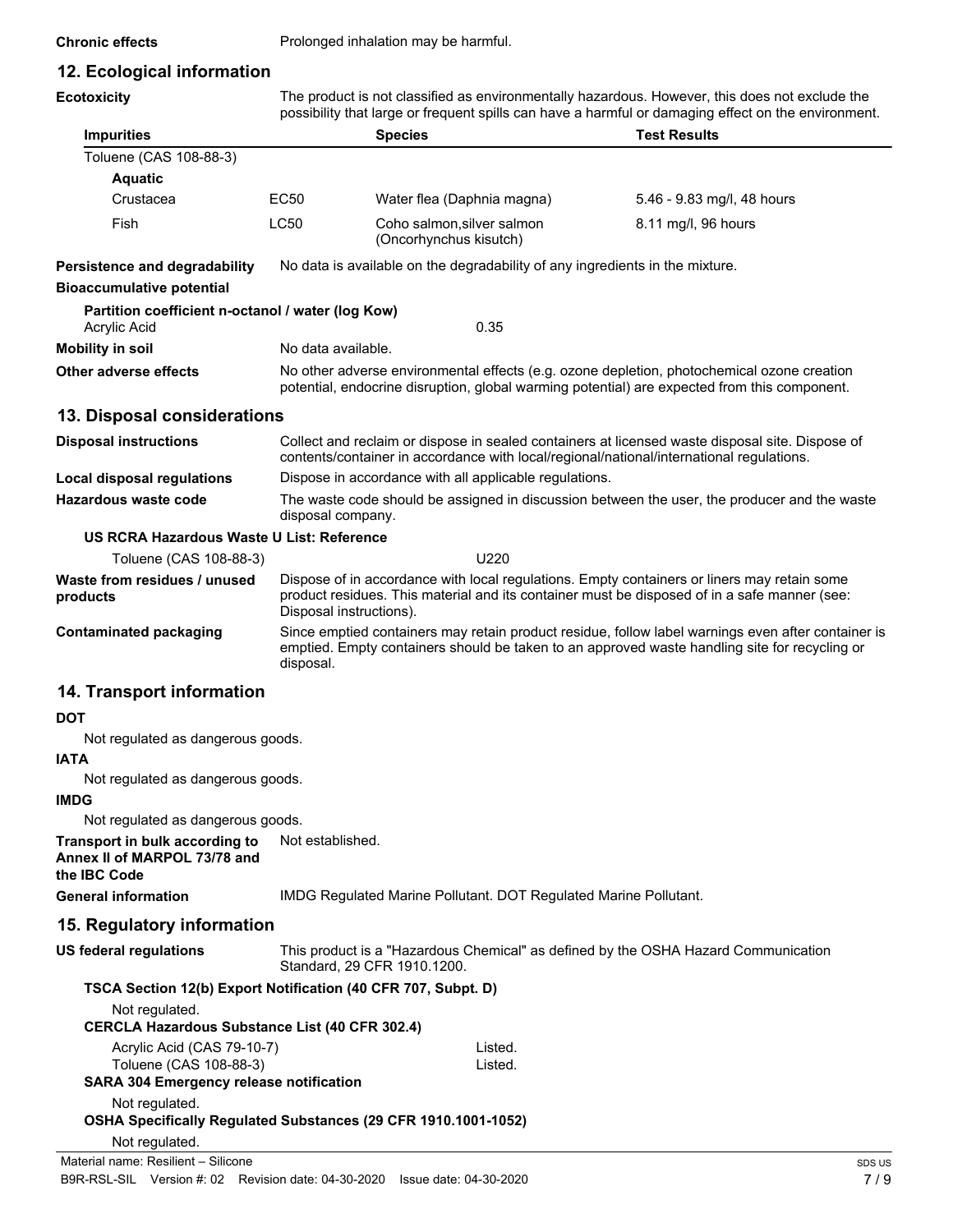**Chronic effects** Prolonged inhalation may be harmful.

### **12. Ecological information**

**Ecotoxicity**

The product is not classified as environmentally hazardous. However, this does not exclude the possibility that large or frequent spills can have a harmful or damaging effect on the environment.

| <b>Impurities</b>                                                                |                                                                                                                                                                                                                  | <b>Species</b>                                                                                                                                                                                                         | <b>Test Results</b>                                                                                                                                                                         |  |
|----------------------------------------------------------------------------------|------------------------------------------------------------------------------------------------------------------------------------------------------------------------------------------------------------------|------------------------------------------------------------------------------------------------------------------------------------------------------------------------------------------------------------------------|---------------------------------------------------------------------------------------------------------------------------------------------------------------------------------------------|--|
| Toluene (CAS 108-88-3)                                                           |                                                                                                                                                                                                                  |                                                                                                                                                                                                                        |                                                                                                                                                                                             |  |
| <b>Aquatic</b>                                                                   |                                                                                                                                                                                                                  |                                                                                                                                                                                                                        |                                                                                                                                                                                             |  |
| Crustacea                                                                        | <b>EC50</b>                                                                                                                                                                                                      | Water flea (Daphnia magna)                                                                                                                                                                                             | 5.46 - 9.83 mg/l, 48 hours                                                                                                                                                                  |  |
| Fish                                                                             | <b>LC50</b>                                                                                                                                                                                                      | Coho salmon, silver salmon<br>(Oncorhynchus kisutch)                                                                                                                                                                   | 8.11 mg/l, 96 hours                                                                                                                                                                         |  |
| Persistence and degradability                                                    |                                                                                                                                                                                                                  | No data is available on the degradability of any ingredients in the mixture.                                                                                                                                           |                                                                                                                                                                                             |  |
| <b>Bioaccumulative potential</b>                                                 |                                                                                                                                                                                                                  |                                                                                                                                                                                                                        |                                                                                                                                                                                             |  |
| Partition coefficient n-octanol / water (log Kow)<br>Acrylic Acid                |                                                                                                                                                                                                                  | 0.35                                                                                                                                                                                                                   |                                                                                                                                                                                             |  |
| <b>Mobility in soil</b>                                                          | No data available.                                                                                                                                                                                               |                                                                                                                                                                                                                        |                                                                                                                                                                                             |  |
| <b>Other adverse effects</b>                                                     |                                                                                                                                                                                                                  |                                                                                                                                                                                                                        | No other adverse environmental effects (e.g. ozone depletion, photochemical ozone creation<br>potential, endocrine disruption, global warming potential) are expected from this component.  |  |
| 13. Disposal considerations                                                      |                                                                                                                                                                                                                  |                                                                                                                                                                                                                        |                                                                                                                                                                                             |  |
| <b>Disposal instructions</b>                                                     |                                                                                                                                                                                                                  |                                                                                                                                                                                                                        | Collect and reclaim or dispose in sealed containers at licensed waste disposal site. Dispose of<br>contents/container in accordance with local/regional/national/international regulations. |  |
| <b>Local disposal regulations</b>                                                |                                                                                                                                                                                                                  | Dispose in accordance with all applicable regulations.                                                                                                                                                                 |                                                                                                                                                                                             |  |
| Hazardous waste code                                                             | disposal company.                                                                                                                                                                                                |                                                                                                                                                                                                                        | The waste code should be assigned in discussion between the user, the producer and the waste                                                                                                |  |
| US RCRA Hazardous Waste U List: Reference                                        |                                                                                                                                                                                                                  |                                                                                                                                                                                                                        |                                                                                                                                                                                             |  |
| Toluene (CAS 108-88-3)                                                           |                                                                                                                                                                                                                  | U220                                                                                                                                                                                                                   |                                                                                                                                                                                             |  |
| Waste from residues / unused<br>products                                         |                                                                                                                                                                                                                  | Dispose of in accordance with local regulations. Empty containers or liners may retain some<br>product residues. This material and its container must be disposed of in a safe manner (see:<br>Disposal instructions). |                                                                                                                                                                                             |  |
| <b>Contaminated packaging</b>                                                    | Since emptied containers may retain product residue, follow label warnings even after container is<br>emptied. Empty containers should be taken to an approved waste handling site for recycling or<br>disposal. |                                                                                                                                                                                                                        |                                                                                                                                                                                             |  |
| 14. Transport information                                                        |                                                                                                                                                                                                                  |                                                                                                                                                                                                                        |                                                                                                                                                                                             |  |
| DOT                                                                              |                                                                                                                                                                                                                  |                                                                                                                                                                                                                        |                                                                                                                                                                                             |  |
| Not regulated as dangerous goods.                                                |                                                                                                                                                                                                                  |                                                                                                                                                                                                                        |                                                                                                                                                                                             |  |
| <b>IATA</b>                                                                      |                                                                                                                                                                                                                  |                                                                                                                                                                                                                        |                                                                                                                                                                                             |  |
| Not regulated as dangerous goods.                                                |                                                                                                                                                                                                                  |                                                                                                                                                                                                                        |                                                                                                                                                                                             |  |
| <b>IMDG</b>                                                                      |                                                                                                                                                                                                                  |                                                                                                                                                                                                                        |                                                                                                                                                                                             |  |
| Not regulated as dangerous goods.                                                |                                                                                                                                                                                                                  |                                                                                                                                                                                                                        |                                                                                                                                                                                             |  |
| Transport in bulk according to<br>Annex II of MARPOL 73/78 and<br>the IBC Code   | Not established.                                                                                                                                                                                                 |                                                                                                                                                                                                                        |                                                                                                                                                                                             |  |
| <b>General information</b>                                                       |                                                                                                                                                                                                                  | IMDG Regulated Marine Pollutant. DOT Regulated Marine Pollutant.                                                                                                                                                       |                                                                                                                                                                                             |  |
| 15. Regulatory information                                                       |                                                                                                                                                                                                                  |                                                                                                                                                                                                                        |                                                                                                                                                                                             |  |
| <b>US federal regulations</b>                                                    |                                                                                                                                                                                                                  | Standard, 29 CFR 1910.1200.                                                                                                                                                                                            | This product is a "Hazardous Chemical" as defined by the OSHA Hazard Communication                                                                                                          |  |
| TSCA Section 12(b) Export Notification (40 CFR 707, Subpt. D)                    |                                                                                                                                                                                                                  |                                                                                                                                                                                                                        |                                                                                                                                                                                             |  |
| Not regulated.<br><b>CERCLA Hazardous Substance List (40 CFR 302.4)</b>          |                                                                                                                                                                                                                  |                                                                                                                                                                                                                        |                                                                                                                                                                                             |  |
| Acrylic Acid (CAS 79-10-7)                                                       |                                                                                                                                                                                                                  | Listed.                                                                                                                                                                                                                |                                                                                                                                                                                             |  |
| Toluene (CAS 108-88-3)<br><b>SARA 304 Emergency release notification</b>         |                                                                                                                                                                                                                  | Listed.                                                                                                                                                                                                                |                                                                                                                                                                                             |  |
| Not regulated.<br>OSHA Specifically Regulated Substances (29 CFR 1910.1001-1052) |                                                                                                                                                                                                                  |                                                                                                                                                                                                                        |                                                                                                                                                                                             |  |
| Not regulated.                                                                   |                                                                                                                                                                                                                  |                                                                                                                                                                                                                        |                                                                                                                                                                                             |  |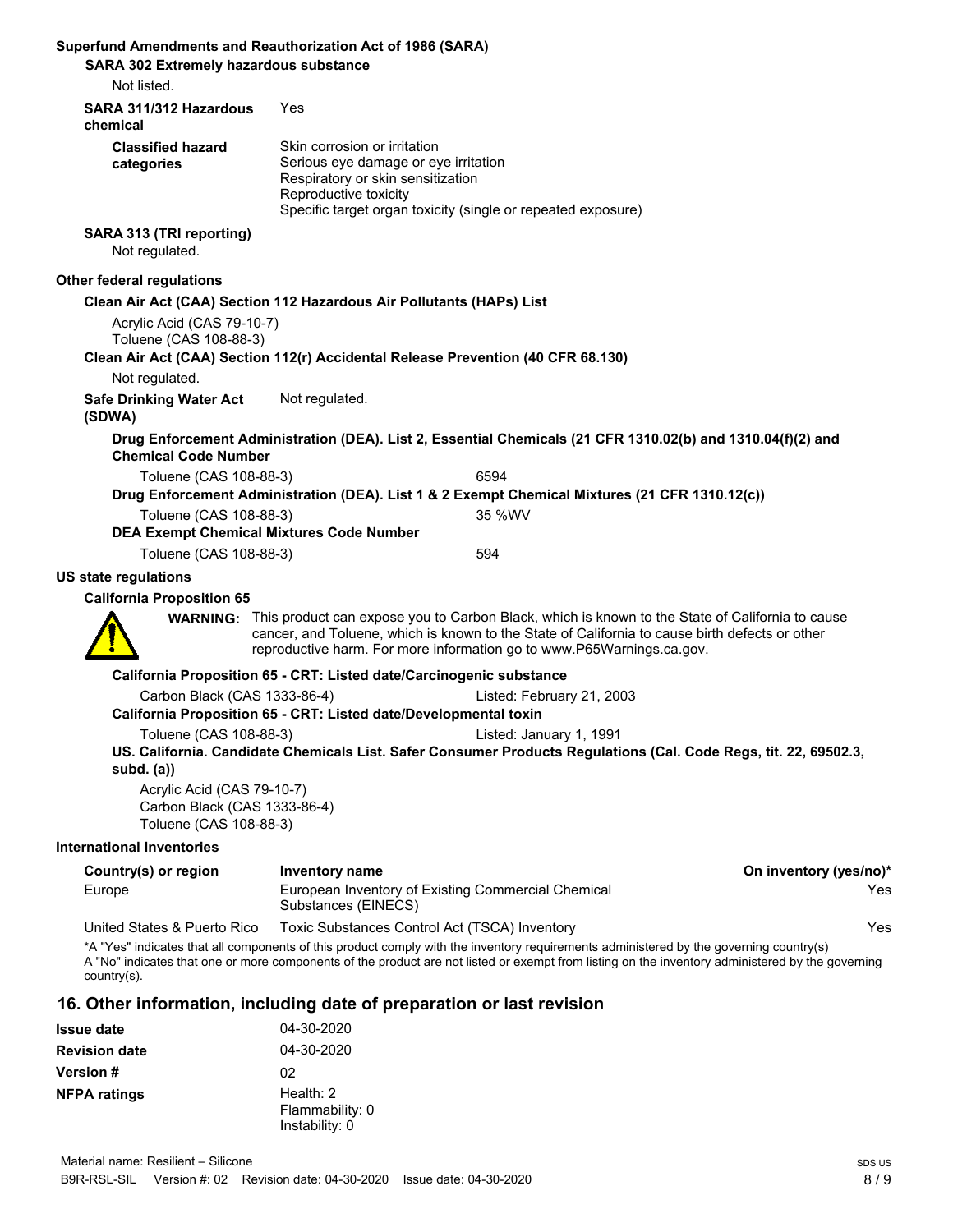| Superfund Amendments and Reauthorization Act of 1986 (SARA)<br>SARA 302 Extremely hazardous substance<br>Not listed. |                                                                                                                                    |                                                                                                                                                                                                                                                                                            |                        |
|----------------------------------------------------------------------------------------------------------------------|------------------------------------------------------------------------------------------------------------------------------------|--------------------------------------------------------------------------------------------------------------------------------------------------------------------------------------------------------------------------------------------------------------------------------------------|------------------------|
| SARA 311/312 Hazardous                                                                                               | Yes                                                                                                                                |                                                                                                                                                                                                                                                                                            |                        |
| chemical<br><b>Classified hazard</b><br>categories                                                                   | Skin corrosion or irritation<br>Serious eye damage or eye irritation<br>Respiratory or skin sensitization<br>Reproductive toxicity | Specific target organ toxicity (single or repeated exposure)                                                                                                                                                                                                                               |                        |
| SARA 313 (TRI reporting)<br>Not regulated.                                                                           |                                                                                                                                    |                                                                                                                                                                                                                                                                                            |                        |
| Other federal regulations                                                                                            |                                                                                                                                    |                                                                                                                                                                                                                                                                                            |                        |
|                                                                                                                      | Clean Air Act (CAA) Section 112 Hazardous Air Pollutants (HAPs) List                                                               |                                                                                                                                                                                                                                                                                            |                        |
| Acrylic Acid (CAS 79-10-7)<br>Toluene (CAS 108-88-3)                                                                 |                                                                                                                                    |                                                                                                                                                                                                                                                                                            |                        |
|                                                                                                                      | Clean Air Act (CAA) Section 112(r) Accidental Release Prevention (40 CFR 68.130)                                                   |                                                                                                                                                                                                                                                                                            |                        |
| Not regulated.                                                                                                       |                                                                                                                                    |                                                                                                                                                                                                                                                                                            |                        |
| <b>Safe Drinking Water Act</b><br>(SDWA)                                                                             | Not regulated.                                                                                                                     |                                                                                                                                                                                                                                                                                            |                        |
| <b>Chemical Code Number</b>                                                                                          |                                                                                                                                    | Drug Enforcement Administration (DEA). List 2, Essential Chemicals (21 CFR 1310.02(b) and 1310.04(f)(2) and                                                                                                                                                                                |                        |
| Toluene (CAS 108-88-3)                                                                                               |                                                                                                                                    | 6594                                                                                                                                                                                                                                                                                       |                        |
|                                                                                                                      |                                                                                                                                    | Drug Enforcement Administration (DEA). List 1 & 2 Exempt Chemical Mixtures (21 CFR 1310.12(c))                                                                                                                                                                                             |                        |
| Toluene (CAS 108-88-3)                                                                                               |                                                                                                                                    | 35 %WV                                                                                                                                                                                                                                                                                     |                        |
| Toluene (CAS 108-88-3)                                                                                               | <b>DEA Exempt Chemical Mixtures Code Number</b>                                                                                    | 594                                                                                                                                                                                                                                                                                        |                        |
|                                                                                                                      |                                                                                                                                    |                                                                                                                                                                                                                                                                                            |                        |
| <b>US state regulations</b><br><b>California Proposition 65</b>                                                      |                                                                                                                                    |                                                                                                                                                                                                                                                                                            |                        |
|                                                                                                                      |                                                                                                                                    | <b>WARNING:</b> This product can expose you to Carbon Black, which is known to the State of California to cause                                                                                                                                                                            |                        |
|                                                                                                                      |                                                                                                                                    | cancer, and Toluene, which is known to the State of California to cause birth defects or other<br>reproductive harm. For more information go to www.P65Warnings.ca.gov.                                                                                                                    |                        |
|                                                                                                                      | California Proposition 65 - CRT: Listed date/Carcinogenic substance                                                                |                                                                                                                                                                                                                                                                                            |                        |
| Carbon Black (CAS 1333-86-4)                                                                                         | California Proposition 65 - CRT: Listed date/Developmental toxin                                                                   | Listed: February 21, 2003                                                                                                                                                                                                                                                                  |                        |
| Toluene (CAS 108-88-3)<br>subd. $(a)$                                                                                |                                                                                                                                    | Listed: January 1, 1991<br>US. California. Candidate Chemicals List. Safer Consumer Products Regulations (Cal. Code Regs, tit. 22, 69502.3,                                                                                                                                                |                        |
| Acrylic Acid (CAS 79-10-7)<br>Carbon Black (CAS 1333-86-4)<br>Toluene (CAS 108-88-3)                                 |                                                                                                                                    |                                                                                                                                                                                                                                                                                            |                        |
| <b>International Inventories</b>                                                                                     |                                                                                                                                    |                                                                                                                                                                                                                                                                                            |                        |
| Country(s) or region                                                                                                 | <b>Inventory name</b>                                                                                                              |                                                                                                                                                                                                                                                                                            | On inventory (yes/no)* |
| Europe                                                                                                               | European Inventory of Existing Commercial Chemical<br>Substances (EINECS)                                                          |                                                                                                                                                                                                                                                                                            | Yes                    |
| United States & Puerto Rico                                                                                          | Toxic Substances Control Act (TSCA) Inventory                                                                                      |                                                                                                                                                                                                                                                                                            | Yes                    |
| country(s).                                                                                                          |                                                                                                                                    | *A "Yes" indicates that all components of this product comply with the inventory requirements administered by the governing country(s)<br>A "No" indicates that one or more components of the product are not listed or exempt from listing on the inventory administered by the governing |                        |

## **16. Other information, including date of preparation or last revision**

| <b>Issue date</b>    | 04-30-2020                                       |
|----------------------|--------------------------------------------------|
| <b>Revision date</b> | 04-30-2020                                       |
| <b>Version #</b>     | 02                                               |
| <b>NFPA ratings</b>  | Health: $2$<br>Flammability: 0<br>Instability: 0 |